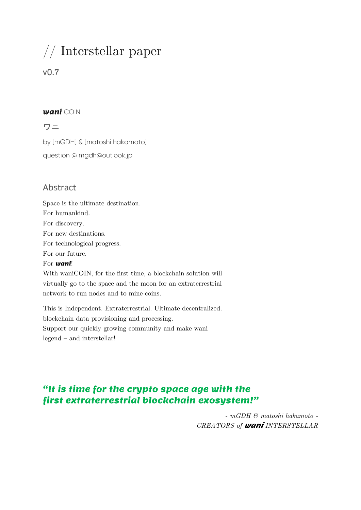# // Interstellar paper

# v0.7

#### wani COIN

ワニ

by [mGDH] & [matoshi hakamoto] question @ mgdh@outlook.jp

# Abstract

Space is the ultimate destination. For humankind. For discovery. For new destinations. For technological progress. For our future. For **wani!** 

With waniCOIN, for the first time, a blockchain solution will virtually go to the space and the moon for an extraterrestrial network to run nodes and to mine coins.

This is Independent. Extraterrestrial. Ultimate decentralized. blockchain data provisioning and processing. Support our quickly growing community and make wani legend – and interstellar!

# "It is time for the crypto space age with the first extraterrestrial blockchain exosystem!"

*- mGDH & matoshi hakamoto - CREATORS of* wani *INTERSTELLAR*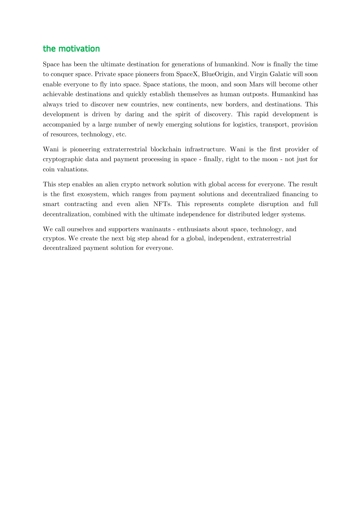## the motivation

Space has been the ultimate destination for generations of humankind. Now is finally the time to conquer space. Private space pioneers from SpaceX, BlueOrigin, and Virgin Galatic will soon enable everyone to fly into space. Space stations, the moon, and soon Mars will become other achievable destinations and quickly establish themselves as human outposts. Humankind has always tried to discover new countries, new continents, new borders, and destinations. This development is driven by daring and the spirit of discovery. This rapid development is accompanied by a large number of newly emerging solutions for logistics, transport, provision of resources, technology, etc.

Wani is pioneering extraterrestrial blockchain infrastructure. Wani is the first provider of cryptographic data and payment processing in space - finally, right to the moon - not just for coin valuations.

This step enables an alien crypto network solution with global access for everyone. The result is the first exosystem, which ranges from payment solutions and decentralized financing to smart contracting and even alien NFTs. This represents complete disruption and full decentralization, combined with the ultimate independence for distributed ledger systems.

We call ourselves and supporters waninauts - enthusiasts about space, technology, and cryptos. We create the next big step ahead for a global, independent, extraterrestrial decentralized payment solution for everyone.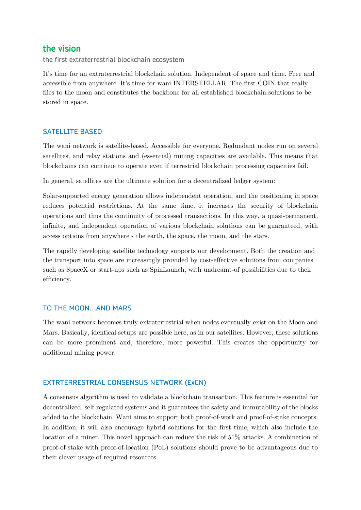#### the vision

the first extraterrestrial blockchain ecosystem

It's time for an extraterrestrial blockchain solution. Independent of space and time. Free and accessible from anywhere. It's time for wani INTERSTELLAR. The first COIN that really flies to the moon and constitutes the backbone for all established blockchain solutions to be stored in space.

#### SATELLITE BASED

The wani network is satellite-based. Accessible for everyone. Redundant nodes run on several satellites, and relay stations and (essential) mining capacities are available. This means that blockchains can continue to operate even if terrestrial blockchain processing capacities fail.

In general, satellites are the ultimate solution for a decentralized ledger system:

Solar-supported energy generation allows independent operation, and the positioning in space reduces potential restrictions. At the same time, it increases the security of blockchain operations and thus the continuity of processed transactions. In this way, a quasi-permanent, infinite, and independent operation of various blockchain solutions can be guaranteed, with access options from anywhere - the earth, the space, the moon, and the stars.

The rapidly developing satellite technology supports our development. Both the creation and the transport into space are increasingly provided by cost-effective solutions from companies such as SpaceX or start-ups such as SpinLaunch, with undreamt-of possibilities due to their efficiency.

#### TO THE MOON…AND MARS

The wani network becomes truly extraterrestrial when nodes eventually exist on the Moon and Mars. Basically, identical setups are possible here, as in our satellites. However, these solutions can be more prominent and, therefore, more powerful. This creates the opportunity for additional mining power.

#### EXTRTERRESTRIAL CONSENSUS NETWORK (ExCN)

A consensus algorithm is used to validate a blockchain transaction. This feature is essential for decentralized, self-regulated systems and it guarantees the safety and immutability of the blocks added to the blockchain. Wani aims to support both proof-of-work and proof-of-stake concepts. In addition, it will also encourage hybrid solutions for the first time, which also include the location of a miner. This novel approach can reduce the risk of 51% attacks. A combination of proof-of-stake with proof-of-location (PoL) solutions should prove to be advantageous due to their clever usage of required resources.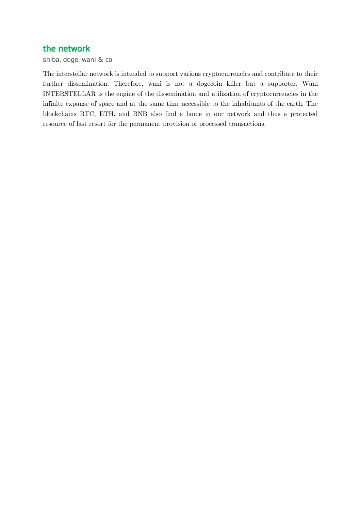## the network

shiba, doge, wani & co

The interstellar network is intended to support various cryptocurrencies and contribute to their further dissemination. Therefore, wani is not a dogecoin killer but a supporter. Wani INTERSTELLAR is the engine of the dissemination and utilization of cryptocurrencies in the infinite expanse of space and at the same time accessible to the inhabitants of the earth. The blockchains BTC, ETH, and BNB also find a home in our network and thus a protected resource of last resort for the permanent provision of processed transactions.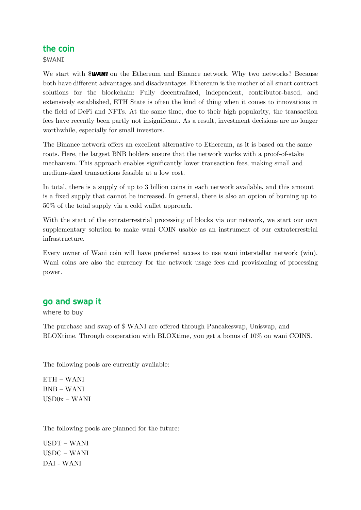## the coin

\$WANI

We start with **SWANI** on the Ethereum and Binance network. Why two networks? Because both have different advantages and disadvantages. Ethereum is the mother of all smart contract solutions for the blockchain: Fully decentralized, independent, contributor-based, and extensively established, ETH State is often the kind of thing when it comes to innovations in the field of DeFi and NFTs. At the same time, due to their high popularity, the transaction fees have recently been partly not insignificant. As a result, investment decisions are no longer worthwhile, especially for small investors.

The Binance network offers an excellent alternative to Ethereum, as it is based on the same roots. Here, the largest BNB holders ensure that the network works with a proof-of-stake mechanism. This approach enables significantly lower transaction fees, making small and medium-sized transactions feasible at a low cost.

In total, there is a supply of up to 3 billion coins in each network available, and this amount is a fixed supply that cannot be increased. In general, there is also an option of burning up to 50% of the total supply via a cold wallet approach.

With the start of the extraterrestrial processing of blocks via our network, we start our own supplementary solution to make wani COIN usable as an instrument of our extraterrestrial infrastructure.

Every owner of Wani coin will have preferred access to use wani interstellar network (win). Wani coins are also the currency for the network usage fees and provisioning of processing power.

## go and swap it

where to buy

The purchase and swap of \$ WANI are offered through Pancakeswap, Uniswap, and BLOXtime. Through cooperation with BLOXtime, you get a bonus of 10% on wani COINS.

The following pools are currently available:

ETH – WANI BNB – WANI USD0x – WANI

The following pools are planned for the future:

USDT – WANI USDC – WANI DAI - WANI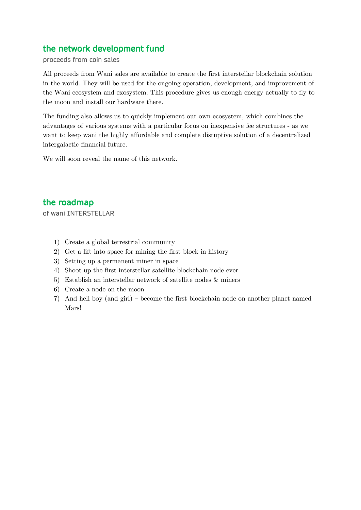# the network development fund

#### proceeds from coin sales

All proceeds from Wani sales are available to create the first interstellar blockchain solution in the world. They will be used for the ongoing operation, development, and improvement of the Wani ecosystem and exosystem. This procedure gives us enough energy actually to fly to the moon and install our hardware there.

The funding also allows us to quickly implement our own ecosystem, which combines the advantages of various systems with a particular focus on inexpensive fee structures - as we want to keep wani the highly affordable and complete disruptive solution of a decentralized intergalactic financial future.

We will soon reveal the name of this network.

# the roadmap

of wani INTERSTELLAR

- 1) Create a global terrestrial community
- 2) Get a lift into space for mining the first block in history
- 3) Setting up a permanent miner in space
- 4) Shoot up the first interstellar satellite blockchain node ever
- 5) Establish an interstellar network of satellite nodes & miners
- 6) Create a node on the moon
- 7) And hell boy (and girl) become the first blockchain node on another planet named Mars!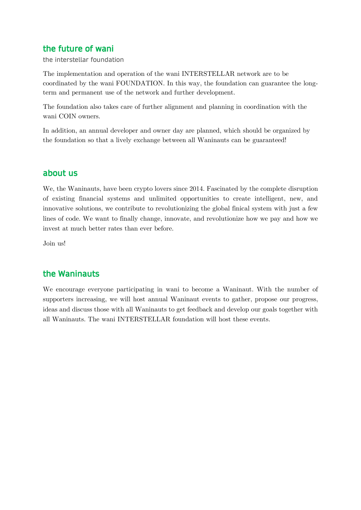# the future of wani

the interstellar foundation

The implementation and operation of the wani INTERSTELLAR network are to be coordinated by the wani FOUNDATION. In this way, the foundation can guarantee the longterm and permanent use of the network and further development.

The foundation also takes care of further alignment and planning in coordination with the wani COIN owners.

In addition, an annual developer and owner day are planned, which should be organized by the foundation so that a lively exchange between all Waninauts can be guaranteed!

# about us

We, the Waninauts, have been crypto lovers since 2014. Fascinated by the complete disruption of existing financial systems and unlimited opportunities to create intelligent, new, and innovative solutions, we contribute to revolutionizing the global finical system with just a few lines of code. We want to finally change, innovate, and revolutionize how we pay and how we invest at much better rates than ever before.

Join us!

# the Waninauts

We encourage everyone participating in wani to become a Waninaut. With the number of supporters increasing, we will host annual Waninaut events to gather, propose our progress, ideas and discuss those with all Waninauts to get feedback and develop our goals together with all Waninauts. The wani INTERSTELLAR foundation will host these events.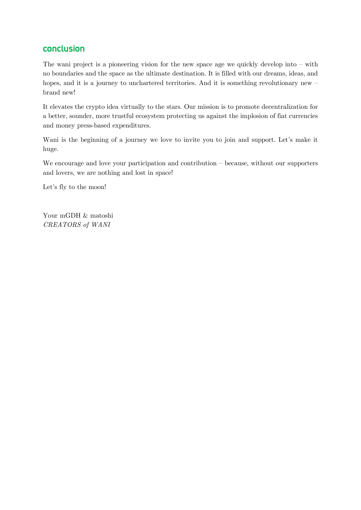# conclusion

The wani project is a pioneering vision for the new space age we quickly develop into – with no boundaries and the space as the ultimate destination. It is filled with our dreams, ideas, and hopes, and it is a journey to unchartered territories. And it is something revolutionary new – brand new!

It elevates the crypto idea virtually to the stars. Our mission is to promote decentralization for a better, sounder, more trustful ecosystem protecting us against the implosion of fiat currencies and money press-based expenditures.

Wani is the beginning of a journey we love to invite you to join and support. Let's make it huge.

We encourage and love your participation and contribution – because, without our supporters and lovers, we are nothing and lost in space!

Let's fly to the moon!

Your mGDH  $\&$  matoshi *CREATORS of WANI*